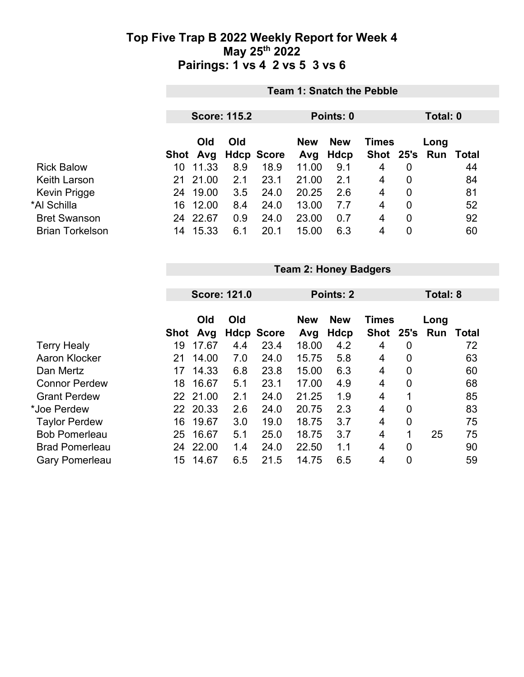|                        | <b>Team 1: Snatch the Pebble</b> |              |     |                           |              |                    |              |          |               |             |
|------------------------|----------------------------------|--------------|-----|---------------------------|--------------|--------------------|--------------|----------|---------------|-------------|
|                        | <b>Score: 115.2</b>              |              |     |                           |              | Points: 0          |              | Total: 0 |               |             |
|                        |                                  | Old          | Old |                           | <b>New</b>   | <b>New</b>         | <b>Times</b> |          | Long          |             |
| <b>Rick Balow</b>      | Shot<br>10                       | Avg<br>11.33 | 8.9 | <b>Hdcp Score</b><br>18.9 | Avg<br>11.00 | <b>Hdcp</b><br>9.1 | 4            | 0        | Shot 25's Run | Total<br>44 |
| <b>Keith Larson</b>    | 21                               | 21.00        | 2.1 | 23.1                      | 21.00        | 2.1                | 4            | 0        |               | 84          |
| Kevin Prigge           | 24                               | 19.00        | 3.5 | 24.0                      | 20.25        | 2.6                | 4            | 0        |               | 81          |
| *Al Schilla            | 16                               | 12.00        | 8.4 | 24.0                      | 13.00        | 7.7                | 4            | 0        |               | 52          |
| <b>Bret Swanson</b>    | 24                               | 22.67        | 0.9 | 24.0                      | 23.00        | 0.7                | 4            | 0        |               | 92          |
| <b>Brian Torkelson</b> | 14                               | 15.33        | 6.1 | 20.1                      | 15.00        | 6.3                | 4            | 0        |               | 60          |

|                       |             | <b>Team 2: Honey Badgers</b> |                     |                   |            |             |              |             |                 |       |  |
|-----------------------|-------------|------------------------------|---------------------|-------------------|------------|-------------|--------------|-------------|-----------------|-------|--|
|                       |             |                              |                     |                   |            |             |              |             |                 |       |  |
|                       |             |                              | <b>Score: 121.0</b> |                   | Points: 2  |             |              |             | <b>Total: 8</b> |       |  |
|                       |             | Old<br>Old                   |                     |                   | <b>New</b> | <b>New</b>  | <b>Times</b> |             | Long            |       |  |
|                       | <b>Shot</b> | Avg                          |                     | <b>Hdcp Score</b> | Avg        | <b>Hdcp</b> | Shot 25's    |             | Run             | Total |  |
| <b>Terry Healy</b>    | 19          | 17.67                        | 4.4                 | 23.4              | 18.00      | 4.2         | 4            | 0           |                 | 72    |  |
| Aaron Klocker         | 21          | 14.00                        | 7.0                 | 24.0              | 15.75      | 5.8         | 4            | 0           |                 | 63    |  |
| Dan Mertz             | 17          | 14.33                        | 6.8                 | 23.8              | 15.00      | 6.3         | 4            | 0           |                 | 60    |  |
| <b>Connor Perdew</b>  | 18          | 16.67                        | 5.1                 | 23.1              | 17.00      | 4.9         | 4            | 0           |                 | 68    |  |
| <b>Grant Perdew</b>   |             | 22 21.00                     | 2.1                 | 24.0              | 21.25      | 1.9         | 4            | 1           |                 | 85    |  |
| *Joe Perdew           |             | 22 20.33                     | 2.6                 | 24.0              | 20.75      | 2.3         | 4            | 0           |                 | 83    |  |
| <b>Taylor Perdew</b>  | 16          | 19.67                        | 3.0                 | 19.0              | 18.75      | 3.7         | 4            | $\mathbf 0$ |                 | 75    |  |
| <b>Bob Pomerleau</b>  | 25          | 16.67                        | 5.1                 | 25.0              | 18.75      | 3.7         | 4            | 1           | 25              | 75    |  |
| <b>Brad Pomerleau</b> | 24          | 22.00                        | 1.4                 | 24.0              | 22.50      | 1.1         | 4            | 0           |                 | 90    |  |
| <b>Gary Pomerleau</b> | 15          | 14.67                        | 6.5                 | 21.5              | 14.75      | 6.5         | 4            | 0           |                 | 59    |  |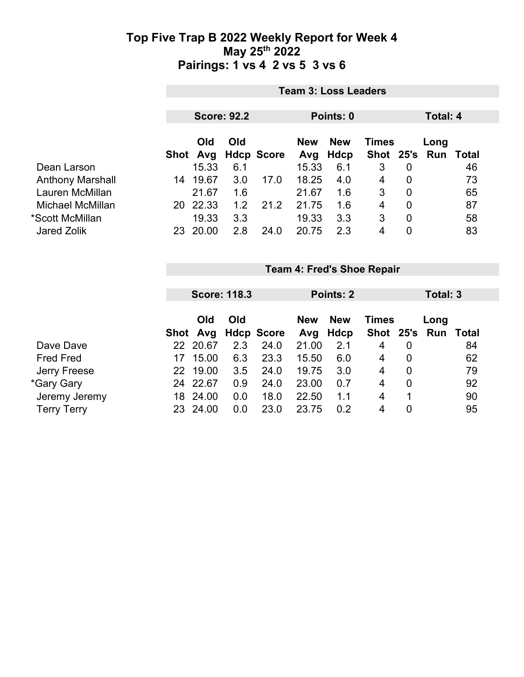|                         |    | <b>Team 3: Loss Leaders</b> |                    |                   |                   |                    |              |          |                             |    |  |
|-------------------------|----|-----------------------------|--------------------|-------------------|-------------------|--------------------|--------------|----------|-----------------------------|----|--|
|                         |    |                             | <b>Score: 92.2</b> |                   |                   | Points: 0          |              | Total: 4 |                             |    |  |
|                         |    | <b>Old</b><br>Shot Avg      | Old                | <b>Hdcp Score</b> | <b>New</b><br>Avg | <b>New</b><br>Hdcp | <b>Times</b> |          | Long<br>Shot 25's Run Total |    |  |
| Dean Larson             |    | 15.33                       | 6.1                |                   | 15.33             | 6.1                | 3            | 0        |                             | 46 |  |
| <b>Anthony Marshall</b> | 14 | 19.67                       | 3.0                | 17.0              | 18.25             | 4.0                | 4            | 0        |                             | 73 |  |
| Lauren McMillan         |    | 21.67                       | 1.6                |                   | 21.67             | 1.6                | 3            | 0        |                             | 65 |  |
| Michael McMillan        |    | 20 22.33                    | 1.2                | 21.2              | 21.75             | 1.6                | 4            | 0        |                             | 87 |  |
| *Scott McMillan         |    | 19.33                       | 3.3                |                   | 19.33             | 3.3                | 3            | 0        |                             | 58 |  |
| Jared Zolik             | 23 | 20.00                       | 2.8                | 24.0              | 20.75             | 2.3                | 4            | 0        |                             | 83 |  |

|                    |     |            | <b>Score: 118.3</b> |                   | Total: 3<br>Points: 2 |                                   |   |   |                             |    |
|--------------------|-----|------------|---------------------|-------------------|-----------------------|-----------------------------------|---|---|-----------------------------|----|
|                    |     | Old<br>Old |                     |                   |                       | <b>New</b><br>Times<br><b>New</b> |   |   |                             |    |
|                    |     | Shot Avg   |                     | <b>Hdcp Score</b> | Avg                   | Hdcp                              |   |   | Long<br>Shot 25's Run Total |    |
| Dave Dave          | 22. | 20.67      | 2.3                 | 24.0              | 21.00                 | 2.1                               | 4 | 0 |                             | 84 |
| <b>Fred Fred</b>   | 17  | 15.00      | 6.3                 | 23.3              | 15.50                 | 6.0                               | 4 | 0 |                             | 62 |
| Jerry Freese       | 22  | 19.00      | 3.5                 | 24.0              | 19.75                 | 3.0                               | 4 | 0 |                             | 79 |
| *Gary Gary         | 24  | 22.67      | 0.9                 | 24.0              | 23.00                 | 0.7                               | 4 | 0 |                             | 92 |
| Jeremy Jeremy      | 18  | 24.00      | 0.0                 | 18.0              | 22.50                 | 1.1                               | 4 | 1 |                             | 90 |
| <b>Terry Terry</b> | 23  | 24.00      | 0.0                 | 23.0              | 23.75                 | 0.2                               | 4 | 0 |                             | 95 |

**Team 4: Fred's Shoe Repair**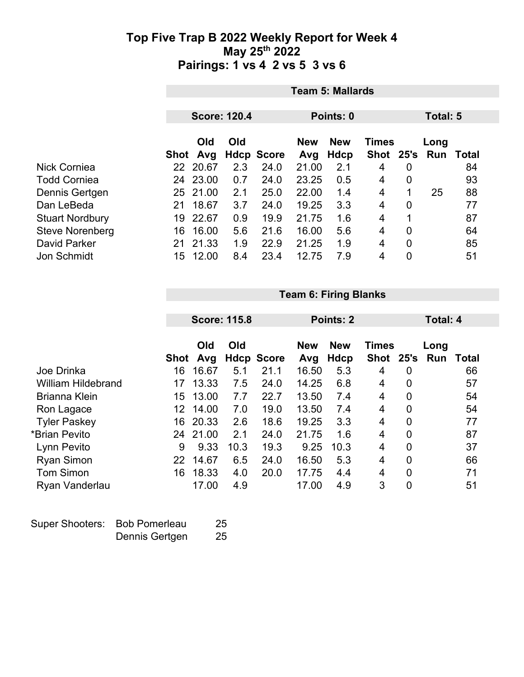|                        | <b>Team 5: Mallards</b>          |          |     |                   |            |      |                      |                |                  |    |  |  |
|------------------------|----------------------------------|----------|-----|-------------------|------------|------|----------------------|----------------|------------------|----|--|--|
|                        | <b>Score: 120.4</b><br>Points: 0 |          |     |                   |            |      |                      |                | Total: 5         |    |  |  |
|                        |                                  |          |     |                   |            |      |                      |                |                  |    |  |  |
|                        | Old<br>Old                       |          |     | <b>New</b>        | <b>New</b> |      | <b>Times</b><br>Long |                |                  |    |  |  |
|                        | Shot                             | Avg      |     | <b>Hdcp Score</b> | Avg        | Hdcp | Shot 25's            |                | <b>Run Total</b> |    |  |  |
| Nick Corniea           | 22                               | 20.67    | 2.3 | 24.0              | 21.00      | 2.1  | 4                    | 0              |                  | 84 |  |  |
| <b>Todd Corniea</b>    | 24                               | 23.00    | 0.7 | 24.0              | 23.25      | 0.5  | 4                    | $\overline{0}$ |                  | 93 |  |  |
| Dennis Gertgen         |                                  | 25 21.00 | 2.1 | 25.0              | 22.00      | 1.4  | 4                    | 1              | 25               | 88 |  |  |
| Dan LeBeda             | 21                               | 18.67    | 3.7 | 24.0              | 19.25      | 3.3  | 4                    | 0              |                  | 77 |  |  |
| <b>Stuart Nordbury</b> | 19                               | 22.67    | 0.9 | 19.9              | 21.75      | 1.6  | 4                    | 1              |                  | 87 |  |  |
| <b>Steve Norenberg</b> | 16                               | 16.00    | 5.6 | 21.6              | 16.00      | 5.6  | 4                    | 0              |                  | 64 |  |  |
| <b>David Parker</b>    | 21                               | 21.33    | 1.9 | 22.9              | 21.25      | 1.9  | 4                    | 0              |                  | 85 |  |  |
| Jon Schmidt            | 15                               | 12.00    | 8.4 | 23.4              | 12.75      | 7.9  | 4                    | 0              |                  | 51 |  |  |

**Team 6: Firing Blanks**

|                           |                 | <b>Score: 115.8</b> |      |                   |                   | Points: 2          |                      |      | Total: 4    |       |  |
|---------------------------|-----------------|---------------------|------|-------------------|-------------------|--------------------|----------------------|------|-------------|-------|--|
|                           | Shot            | Old<br>Avg          | Old  | <b>Hdcp Score</b> | <b>New</b><br>Avg | <b>New</b><br>Hdcp | <b>Times</b><br>Shot | 25's | Long<br>Run | Total |  |
| Joe Drinka                | 16              | 16.67               | 5.1  | 21.1              | 16.50             | 5.3                | 4                    | 0    |             | 66    |  |
| <b>William Hildebrand</b> | 17              | 13.33               | 7.5  | 24.0              | 14.25             | 6.8                | 4                    | 0    |             | 57    |  |
| <b>Brianna Klein</b>      | 15              | 13.00               | 7.7  | 22.7              | 13.50             | 7.4                | 4                    | 0    |             | 54    |  |
| Ron Lagace                | 12 <sup>°</sup> | 14.00               | 7.0  | 19.0              | 13.50             | 7.4                | 4                    | 0    |             | 54    |  |
| <b>Tyler Paskey</b>       | 16              | 20.33               | 2.6  | 18.6              | 19.25             | 3.3                | 4                    | 0    |             | 77    |  |
| *Brian Pevito             | 24              | 21.00               | 2.1  | 24.0              | 21.75             | 1.6                | 4                    | 0    |             | 87    |  |
| Lynn Pevito               | 9               | 9.33                | 10.3 | 19.3              | 9.25              | 10.3               | 4                    | 0    |             | 37    |  |
| <b>Ryan Simon</b>         | 22              | 14.67               | 6.5  | 24.0              | 16.50             | 5.3                | 4                    | 0    |             | 66    |  |
| <b>Tom Simon</b>          | 16              | 18.33               | 4.0  | 20.0              | 17.75             | 4.4                | 4                    | 0    |             | 71    |  |
| Ryan Vanderlau            |                 | 17.00               | 4.9  |                   | 17.00             | 4.9                | 3                    | 0    |             | 51    |  |

| Super Shooters: Bob Pomerleau |                | 25 |
|-------------------------------|----------------|----|
|                               | Dennis Gertgen | 25 |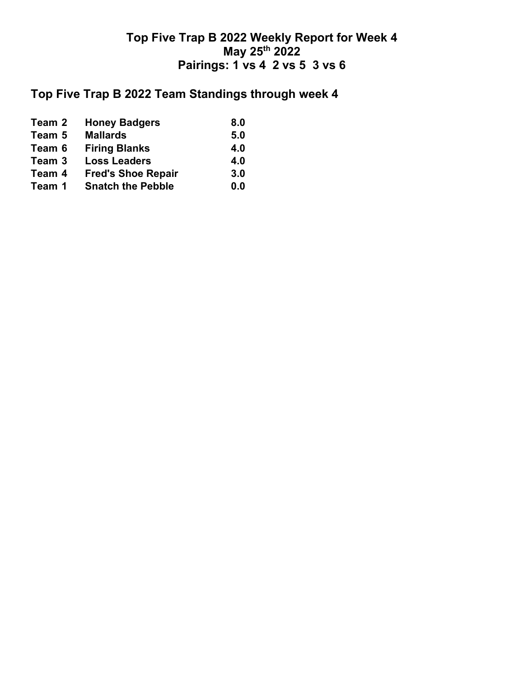# **Top Five Trap B 2022 Team Standings through week 4**

| Team 2 | <b>Honey Badgers</b>      | 8.0 |
|--------|---------------------------|-----|
| Team 5 | <b>Mallards</b>           | 5.0 |
| Team 6 | <b>Firing Blanks</b>      | 4.0 |
| Team 3 | <b>Loss Leaders</b>       | 4.0 |
| Team 4 | <b>Fred's Shoe Repair</b> | 3.0 |
| Team 1 | <b>Snatch the Pebble</b>  | 0.0 |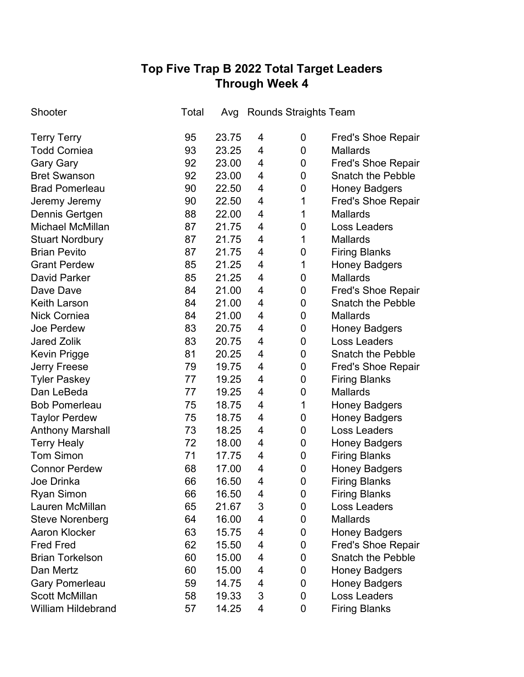# **Top Five Trap B 2022 Total Target Leaders Through Week 4**

| Shooter                   | Total | Avg   |                | Rounds Straights Team |                           |
|---------------------------|-------|-------|----------------|-----------------------|---------------------------|
| <b>Terry Terry</b>        | 95    | 23.75 | 4              | 0                     | <b>Fred's Shoe Repair</b> |
| <b>Todd Corniea</b>       | 93    | 23.25 | 4              | 0                     | <b>Mallards</b>           |
| <b>Gary Gary</b>          | 92    | 23.00 | 4              | 0                     | <b>Fred's Shoe Repair</b> |
| <b>Bret Swanson</b>       | 92    | 23.00 | 4              | 0                     | <b>Snatch the Pebble</b>  |
| <b>Brad Pomerleau</b>     | 90    | 22.50 | 4              | 0                     | <b>Honey Badgers</b>      |
| Jeremy Jeremy             | 90    | 22.50 | 4              | 1                     | <b>Fred's Shoe Repair</b> |
| Dennis Gertgen            | 88    | 22.00 | $\overline{4}$ | 1                     | <b>Mallards</b>           |
| <b>Michael McMillan</b>   | 87    | 21.75 | 4              | 0                     | <b>Loss Leaders</b>       |
| <b>Stuart Nordbury</b>    | 87    | 21.75 | 4              | 1                     | <b>Mallards</b>           |
| <b>Brian Pevito</b>       | 87    | 21.75 | 4              | 0                     | <b>Firing Blanks</b>      |
| <b>Grant Perdew</b>       | 85    | 21.25 | 4              | 1                     | <b>Honey Badgers</b>      |
| <b>David Parker</b>       | 85    | 21.25 | 4              | 0                     | <b>Mallards</b>           |
| Dave Dave                 | 84    | 21.00 | 4              | 0                     | <b>Fred's Shoe Repair</b> |
| <b>Keith Larson</b>       | 84    | 21.00 | 4              | 0                     | <b>Snatch the Pebble</b>  |
| <b>Nick Corniea</b>       | 84    | 21.00 | 4              | 0                     | <b>Mallards</b>           |
| Joe Perdew                | 83    | 20.75 | 4              | 0                     | <b>Honey Badgers</b>      |
| <b>Jared Zolik</b>        | 83    | 20.75 | 4              | 0                     | <b>Loss Leaders</b>       |
| <b>Kevin Prigge</b>       | 81    | 20.25 | 4              | 0                     | <b>Snatch the Pebble</b>  |
| <b>Jerry Freese</b>       | 79    | 19.75 | 4              | 0                     | <b>Fred's Shoe Repair</b> |
| <b>Tyler Paskey</b>       | 77    | 19.25 | 4              | 0                     | <b>Firing Blanks</b>      |
| Dan LeBeda                | 77    | 19.25 | 4              | 0                     | <b>Mallards</b>           |
| <b>Bob Pomerleau</b>      | 75    | 18.75 | 4              | 1                     | <b>Honey Badgers</b>      |
| <b>Taylor Perdew</b>      | 75    | 18.75 | 4              | 0                     | <b>Honey Badgers</b>      |
| <b>Anthony Marshall</b>   | 73    | 18.25 | 4              | 0                     | Loss Leaders              |
| <b>Terry Healy</b>        | 72    | 18.00 | 4              | 0                     | <b>Honey Badgers</b>      |
| <b>Tom Simon</b>          | 71    | 17.75 | 4              | 0                     | <b>Firing Blanks</b>      |
| <b>Connor Perdew</b>      | 68    | 17.00 | 4              | 0                     | <b>Honey Badgers</b>      |
| Joe Drinka                | 66    | 16.50 | 4              | 0                     | <b>Firing Blanks</b>      |
| <b>Ryan Simon</b>         | 66    | 16.50 | 4              | 0                     | <b>Firing Blanks</b>      |
| Lauren McMillan           | 65    | 21.67 | 3              | 0                     | <b>Loss Leaders</b>       |
| <b>Steve Norenberg</b>    | 64    | 16.00 | 4              | 0                     | <b>Mallards</b>           |
| <b>Aaron Klocker</b>      | 63    | 15.75 | 4              | 0                     | <b>Honey Badgers</b>      |
| <b>Fred Fred</b>          | 62    | 15.50 | 4              | 0                     | <b>Fred's Shoe Repair</b> |
| <b>Brian Torkelson</b>    | 60    | 15.00 | 4              | 0                     | <b>Snatch the Pebble</b>  |
| Dan Mertz                 | 60    | 15.00 | 4              | 0                     | <b>Honey Badgers</b>      |
| <b>Gary Pomerleau</b>     | 59    | 14.75 | 4              | 0                     | <b>Honey Badgers</b>      |
| <b>Scott McMillan</b>     | 58    | 19.33 | 3              | 0                     | <b>Loss Leaders</b>       |
| <b>William Hildebrand</b> | 57    | 14.25 | 4              | 0                     | <b>Firing Blanks</b>      |